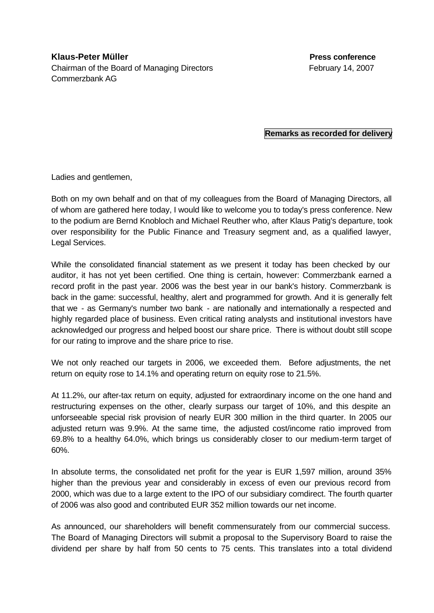## **Remarks as recorded for delivery**

Ladies and gentlemen,

Both on my own behalf and on that of my colleagues from the Board of Managing Directors, all of whom are gathered here today, I would like to welcome you to today's press conference. New to the podium are Bernd Knobloch and Michael Reuther who, after Klaus Patig's departure, took over responsibility for the Public Finance and Treasury segment and, as a qualified lawyer, Legal Services.

While the consolidated financial statement as we present it today has been checked by our auditor, it has not yet been certified. One thing is certain, however: Commerzbank earned a record profit in the past year. 2006 was the best year in our bank's history. Commerzbank is back in the game: successful, healthy, alert and programmed for growth. And it is generally felt that we - as Germany's number two bank - are nationally and internationally a respected and highly regarded place of business. Even critical rating analysts and institutional investors have acknowledged our progress and helped boost our share price. There is without doubt still scope for our rating to improve and the share price to rise.

We not only reached our targets in 2006, we exceeded them. Before adjustments, the net return on equity rose to 14.1% and operating return on equity rose to 21.5%.

At 11.2%, our after-tax return on equity, adjusted for extraordinary income on the one hand and restructuring expenses on the other, clearly surpass our target of 10%, and this despite an unforseeable special risk provision of nearly EUR 300 million in the third quarter. In 2005 our adjusted return was 9.9%. At the same time, the adjusted cost/income ratio improved from 69.8% to a healthy 64.0%, which brings us considerably closer to our medium-term target of 60%.

In absolute terms, the consolidated net profit for the year is EUR 1,597 million, around 35% higher than the previous year and considerably in excess of even our previous record from 2000, which was due to a large extent to the IPO of our subsidiary comdirect. The fourth quarter of 2006 was also good and contributed EUR 352 million towards our net income.

As announced, our shareholders will benefit commensurately from our commercial success. The Board of Managing Directors will submit a proposal to the Supervisory Board to raise the dividend per share by half from 50 cents to 75 cents. This translates into a total dividend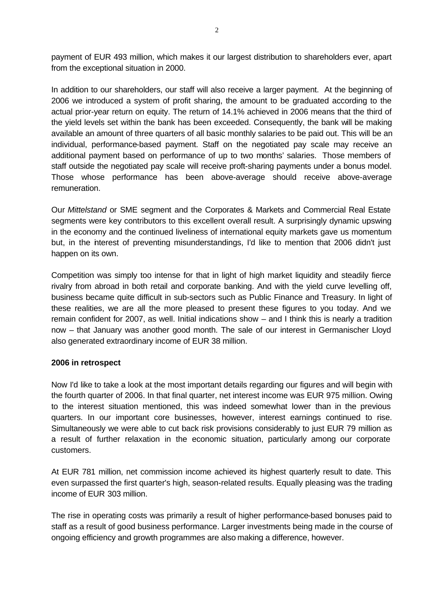payment of EUR 493 million, which makes it our largest distribution to shareholders ever, apart from the exceptional situation in 2000.

In addition to our shareholders, our staff will also receive a larger payment. At the beginning of 2006 we introduced a system of profit sharing, the amount to be graduated according to the actual prior-year return on equity. The return of 14.1% achieved in 2006 means that the third of the yield levels set within the bank has been exceeded. Consequently, the bank will be making available an amount of three quarters of all basic monthly salaries to be paid out. This will be an individual, performance-based payment. Staff on the negotiated pay scale may receive an additional payment based on performance of up to two months' salaries. Those members of staff outside the negotiated pay scale will receive proft-sharing payments under a bonus model. Those whose performance has been above-average should receive above-average remuneration.

Our *Mittelstand* or SME segment and the Corporates & Markets and Commercial Real Estate segments were key contributors to this excellent overall result. A surprisingly dynamic upswing in the economy and the continued liveliness of international equity markets gave us momentum but, in the interest of preventing misunderstandings, I'd like to mention that 2006 didn't just happen on its own.

Competition was simply too intense for that in light of high market liquidity and steadily fierce rivalry from abroad in both retail and corporate banking. And with the yield curve levelling off, business became quite difficult in sub-sectors such as Public Finance and Treasury. In light of these realities, we are all the more pleased to present these figures to you today. And we remain confident for 2007, as well. Initial indications show – and I think this is nearly a tradition now – that January was another good month. The sale of our interest in Germanischer Lloyd also generated extraordinary income of EUR 38 million.

## **2006 in retrospect**

Now I'd like to take a look at the most important details regarding our figures and will begin with the fourth quarter of 2006. In that final quarter, net interest income was EUR 975 million. Owing to the interest situation mentioned, this was indeed somewhat lower than in the previous quarters. In our important core businesses, however, interest earnings continued to rise. Simultaneously we were able to cut back risk provisions considerably to just EUR 79 million as a result of further relaxation in the economic situation, particularly among our corporate customers.

At EUR 781 million, net commission income achieved its highest quarterly result to date. This even surpassed the first quarter's high, season-related results. Equally pleasing was the trading income of EUR 303 million.

The rise in operating costs was primarily a result of higher performance-based bonuses paid to staff as a result of good business performance. Larger investments being made in the course of ongoing efficiency and growth programmes are also making a difference, however.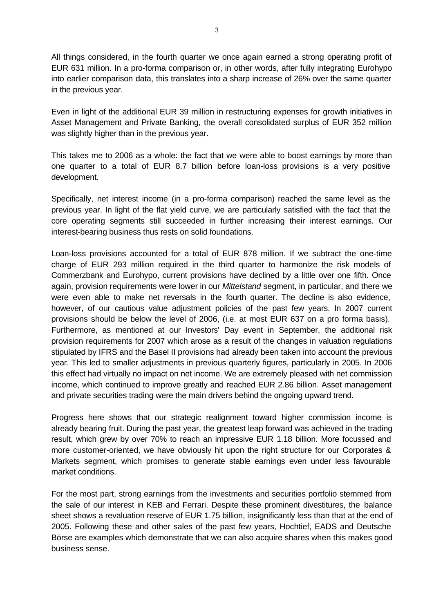All things considered, in the fourth quarter we once again earned a strong operating profit of EUR 631 million. In a pro-forma comparison or, in other words, after fully integrating Eurohypo into earlier comparison data, this translates into a sharp increase of 26% over the same quarter in the previous year.

Even in light of the additional EUR 39 million in restructuring expenses for growth initiatives in Asset Management and Private Banking, the overall consolidated surplus of EUR 352 million was slightly higher than in the previous year.

This takes me to 2006 as a whole: the fact that we were able to boost earnings by more than one quarter to a total of EUR 8.7 billion before loan-loss provisions is a very positive development.

Specifically, net interest income (in a pro-forma comparison) reached the same level as the previous year. In light of the flat yield curve, we are particularly satisfied with the fact that the core operating segments still succeeded in further increasing their interest earnings. Our interest-bearing business thus rests on solid foundations.

Loan-loss provisions accounted for a total of EUR 878 million. If we subtract the one-time charge of EUR 293 million required in the third quarter to harmonize the risk models of Commerzbank and Eurohypo, current provisions have declined by a little over one fifth. Once again, provision requirements were lower in our *Mittelstand* segment, in particular, and there we were even able to make net reversals in the fourth quarter. The decline is also evidence, however, of our cautious value adjustment policies of the past few years. In 2007 current provisions should be below the level of 2006, (i.e. at most EUR 637 on a pro forma basis). Furthermore, as mentioned at our Investors' Day event in September, the additional risk provision requirements for 2007 which arose as a result of the changes in valuation regulations stipulated by IFRS and the Basel II provisions had already been taken into account the previous year. This led to smaller adjustments in previous quarterly figures, particularly in 2005. In 2006 this effect had virtually no impact on net income. We are extremely pleased with net commission income, which continued to improve greatly and reached EUR 2.86 billion. Asset management and private securities trading were the main drivers behind the ongoing upward trend.

Progress here shows that our strategic realignment toward higher commission income is already bearing fruit. During the past year, the greatest leap forward was achieved in the trading result, which grew by over 70% to reach an impressive EUR 1.18 billion. More focussed and more customer-oriented, we have obviously hit upon the right structure for our Corporates & Markets segment, which promises to generate stable earnings even under less favourable market conditions.

For the most part, strong earnings from the investments and securities portfolio stemmed from the sale of our interest in KEB and Ferrari. Despite these prominent divestitures, the balance sheet shows a revaluation reserve of EUR 1.75 billion, insignificantly less than that at the end of 2005. Following these and other sales of the past few years, Hochtief, EADS and Deutsche Börse are examples which demonstrate that we can also acquire shares when this makes good business sense.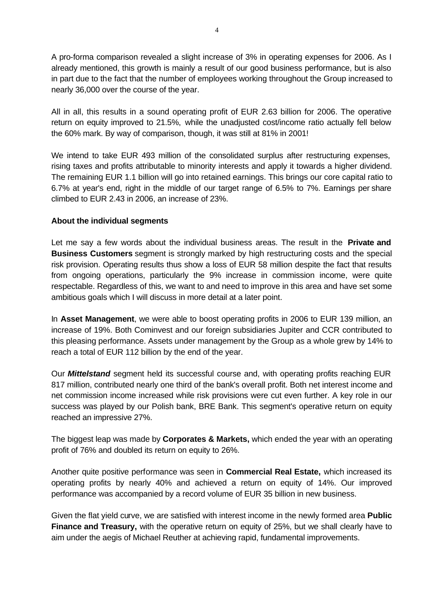A pro-forma comparison revealed a slight increase of 3% in operating expenses for 2006. As I already mentioned, this growth is mainly a result of our good business performance, but is also in part due to the fact that the number of employees working throughout the Group increased to nearly 36,000 over the course of the year.

All in all, this results in a sound operating profit of EUR 2.63 billion for 2006. The operative return on equity improved to 21.5%, while the unadjusted cost/income ratio actually fell below the 60% mark. By way of comparison, though, it was still at 81% in 2001!

We intend to take EUR 493 million of the consolidated surplus after restructuring expenses, rising taxes and profits attributable to minority interests and apply it towards a higher dividend. The remaining EUR 1.1 billion will go into retained earnings. This brings our core capital ratio to 6.7% at year's end, right in the middle of our target range of 6.5% to 7%. Earnings per share climbed to EUR 2.43 in 2006, an increase of 23%.

## **About the individual segments**

Let me say a few words about the individual business areas. The result in the **Private and Business Customers** segment is strongly marked by high restructuring costs and the special risk provision. Operating results thus show a loss of EUR 58 million despite the fact that results from ongoing operations, particularly the 9% increase in commission income, were quite respectable. Regardless of this, we want to and need to improve in this area and have set some ambitious goals which I will discuss in more detail at a later point.

In **Asset Management**, we were able to boost operating profits in 2006 to EUR 139 million, an increase of 19%. Both Cominvest and our foreign subsidiaries Jupiter and CCR contributed to this pleasing performance. Assets under management by the Group as a whole grew by 14% to reach a total of EUR 112 billion by the end of the year.

Our *Mittelstand* segment held its successful course and, with operating profits reaching EUR 817 million, contributed nearly one third of the bank's overall profit. Both net interest income and net commission income increased while risk provisions were cut even further. A key role in our success was played by our Polish bank, BRE Bank. This segment's operative return on equity reached an impressive 27%.

The biggest leap was made by **Corporates & Markets,** which ended the year with an operating profit of 76% and doubled its return on equity to 26%.

Another quite positive performance was seen in **Commercial Real Estate,** which increased its operating profits by nearly 40% and achieved a return on equity of 14%. Our improved performance was accompanied by a record volume of EUR 35 billion in new business.

Given the flat yield curve, we are satisfied with interest income in the newly formed area **Public Finance and Treasury,** with the operative return on equity of 25%, but we shall clearly have to aim under the aegis of Michael Reuther at achieving rapid, fundamental improvements.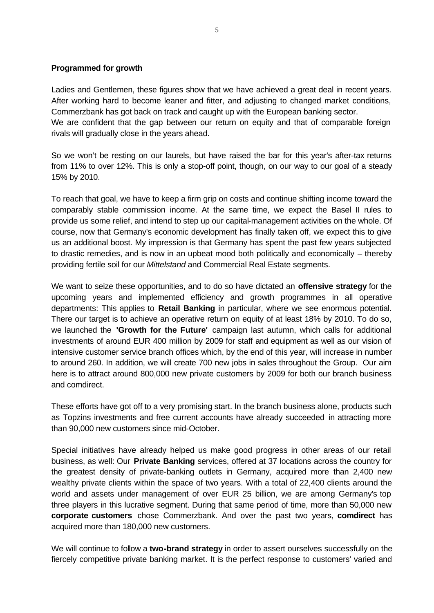## **Programmed for growth**

Ladies and Gentlemen, these figures show that we have achieved a great deal in recent years. After working hard to become leaner and fitter, and adjusting to changed market conditions, Commerzbank has got back on track and caught up with the European banking sector. We are confident that the gap between our return on equity and that of comparable foreign rivals will gradually close in the years ahead.

So we won't be resting on our laurels, but have raised the bar for this year's after-tax returns from 11% to over 12%. This is only a stop-off point, though, on our way to our goal of a steady 15% by 2010.

To reach that goal, we have to keep a firm grip on costs and continue shifting income toward the comparably stable commission income. At the same time, we expect the Basel II rules to provide us some relief, and intend to step up our capital-management activities on the whole. Of course, now that Germany's economic development has finally taken off, we expect this to give us an additional boost. My impression is that Germany has spent the past few years subjected to drastic remedies, and is now in an upbeat mood both politically and economically – thereby providing fertile soil for our *Mittelstand* and Commercial Real Estate segments.

We want to seize these opportunities, and to do so have dictated an **offensive strategy** for the upcoming years and implemented efficiency and growth programmes in all operative departments: This applies to **Retail Banking** in particular, where we see enormous potential. There our target is to achieve an operative return on equity of at least 18% by 2010. To do so, we launched the **'Growth for the Future'** campaign last autumn, which calls for additional investments of around EUR 400 million by 2009 for staff and equipment as well as our vision of intensive customer service branch offices which, by the end of this year, will increase in number to around 260. In addition, we will create 700 new jobs in sales throughout the Group. Our aim here is to attract around 800,000 new private customers by 2009 for both our branch business and comdirect.

These efforts have got off to a very promising start. In the branch business alone, products such as Topzins investments and free current accounts have already succeeded in attracting more than 90,000 new customers since mid-October.

Special initiatives have already helped us make good progress in other areas of our retail business, as well: Our **Private Banking** services, offered at 37 locations across the country for the greatest density of private-banking outlets in Germany, acquired more than 2,400 new wealthy private clients within the space of two years. With a total of 22,400 clients around the world and assets under management of over EUR 25 billion, we are among Germany's top three players in this lucrative segment. During that same period of time, more than 50,000 new **corporate customers** chose Commerzbank. And over the past two years, **comdirect** has acquired more than 180,000 new customers.

We will continue to follow a **two-brand strategy** in order to assert ourselves successfully on the fiercely competitive private banking market. It is the perfect response to customers' varied and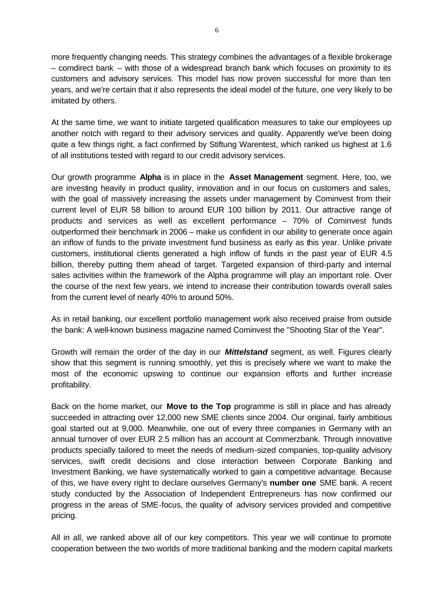more frequently changing needs. This strategy combines the advantages of a flexible brokerage – comdirect bank – with those of a widespread branch bank which focuses on proximity to its customers and advisory services. This model has now proven successful for more than ten years, and we're certain that it also represents the ideal model of the future, one very likely to be imitated by others.

At the same time, we want to initiate targeted qualification measures to take our employees up another notch with regard to their advisory services and quality. Apparently we've been doing quite a few things right, a fact confirmed by Stiftung Warentest, which ranked us highest at 1.6 of all institutions tested with regard to our credit advisory services.

Our growth programme **Alpha** is in place in the **Asset Management** segment. Here, too, we are investing heavily in product quality, innovation and in our focus on customers and sales, with the goal of massively increasing the assets under management by Cominvest from their current level of EUR 58 billion to around EUR 100 billion by 2011. Our attractive range of products and services as well as excellent performance – 70% of Cominvest funds outperformed their benchmark in 2006 – make us confident in our ability to generate once again an inflow of funds to the private investment fund business as early as this year. Unlike private customers, institutional clients generated a high inflow of funds in the past year of EUR 4.5 billion, thereby putting them ahead of target. Targeted expansion of third-party and internal sales activities within the framework of the Alpha programme will play an important role. Over the course of the next few years, we intend to increase their contribution towards overall sales from the current level of nearly 40% to around 50%.

As in retail banking, our excellent portfolio management work also received praise from outside the bank: A well-known business magazine named Cominvest the "Shooting Star of the Year".

Growth will remain the order of the day in our *Mittelstand* segment, as well. Figures clearly show that this segment is running smoothly, yet this is precisely where we want to make the most of the economic upswing to continue our expansion efforts and further increase profitability.

Back on the home market, our **Move to the Top** programme is still in place and has already succeeded in attracting over 12,000 new SME clients since 2004. Our original, fairly ambitious goal started out at 9,000. Meanwhile, one out of every three companies in Germany with an annual turnover of over EUR 2.5 million has an account at Commerzbank. Through innovative products specially tailored to meet the needs of medium-sized companies, top-quality advisory services, swift credit decisions and close interaction between Corporate Banking and Investment Banking, we have systematically worked to gain a competitive advantage. Because of this, we have every right to declare ourselves Germany's **number one** SME bank. A recent study conducted by the Association of Independent Entrepreneurs has now confirmed our progress in the areas of SME-focus, the quality of advisory services provided and competitive pricing.

All in all, we ranked above all of our key competitors. This year we will continue to promote cooperation between the two worlds of more traditional banking and the modern capital markets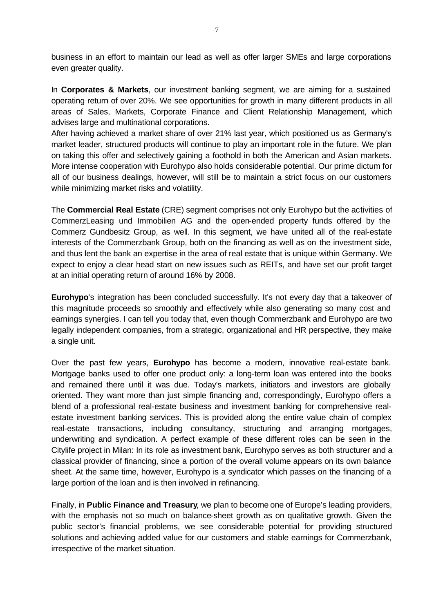business in an effort to maintain our lead as well as offer larger SMEs and large corporations even greater quality.

In **Corporates & Markets**, our investment banking segment, we are aiming for a sustained operating return of over 20%. We see opportunities for growth in many different products in all areas of Sales, Markets, Corporate Finance and Client Relationship Management, which advises large and multinational corporations.

After having achieved a market share of over 21% last year, which positioned us as Germany's market leader, structured products will continue to play an important role in the future. We plan on taking this offer and selectively gaining a foothold in both the American and Asian markets. More intense cooperation with Eurohypo also holds considerable potential. Our prime dictum for all of our business dealings, however, will still be to maintain a strict focus on our customers while minimizing market risks and volatility.

The **Commercial Real Estate** (CRE) segment comprises not only Eurohypo but the activities of CommerzLeasing und Immobilien AG and the open-ended property funds offered by the Commerz Gundbesitz Group, as well. In this segment, we have united all of the real-estate interests of the Commerzbank Group, both on the financing as well as on the investment side, and thus lent the bank an expertise in the area of real estate that is unique within Germany. We expect to enjoy a clear head start on new issues such as REITs, and have set our profit target at an initial operating return of around 16% by 2008.

**Eurohypo**'s integration has been concluded successfully. It's not every day that a takeover of this magnitude proceeds so smoothly and effectively while also generating so many cost and earnings synergies. I can tell you today that, even though Commerzbank and Eurohypo are two legally independent companies, from a strategic, organizational and HR perspective, they make a single unit.

Over the past few years, **Eurohypo** has become a modern, innovative real-estate bank. Mortgage banks used to offer one product only: a long-term loan was entered into the books and remained there until it was due. Today's markets, initiators and investors are globally oriented. They want more than just simple financing and, correspondingly, Eurohypo offers a blend of a professional real-estate business and investment banking for comprehensive realestate investment banking services. This is provided along the entire value chain of complex real-estate transactions, including consultancy, structuring and arranging mortgages, underwriting and syndication. A perfect example of these different roles can be seen in the Citylife project in Milan: In its role as investment bank, Eurohypo serves as both structurer and a classical provider of financing, since a portion of the overall volume appears on its own balance sheet. At the same time, however, Eurohypo is a syndicator which passes on the financing of a large portion of the loan and is then involved in refinancing.

Finally, in **Public Finance and Treasury**, we plan to become one of Europe's leading providers, with the emphasis not so much on balance-sheet growth as on qualitative growth. Given the public sector's financial problems, we see considerable potential for providing structured solutions and achieving added value for our customers and stable earnings for Commerzbank, irrespective of the market situation.